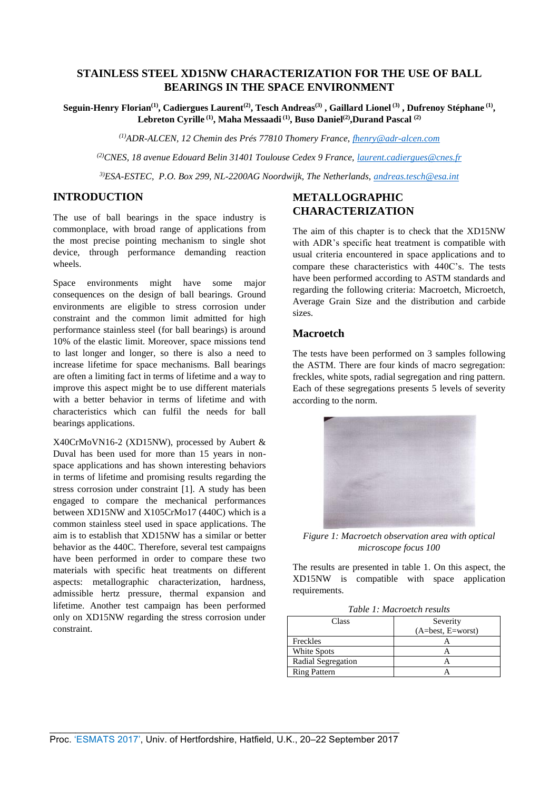# **STAINLESS STEEL XD15NW CHARACTERIZATION FOR THE USE OF BALL BEARINGS IN THE SPACE ENVIRONMENT**

**Seguin-Henry Florian(1), Cadiergues Laurent(2), Tesch Andreas(3) , Gaillard Lionel (3) , Dufrenoy Stéphane (1) , Lebreton Cyrille (1), Maha Messaadi (1) , Buso Daniel(2) ,Durand Pascal (2)**

*(1)ADR-ALCEN, 12 Chemin des Prés 77810 Thomery France, [fhenry@adr-alcen.com](mailto:fhenry@adr-alcen.com)*

*(2)CNES, 18 avenue Edouard Belin 31401 Toulouse Cedex 9 France, [laurent.cadiergues@cnes.fr](mailto:laurent.cadiergues@cnes.fr)*

*3)ESA-ESTEC, P.O. Box 299, NL-2200AG Noordwijk, The Netherlands, [andreas.tesch@esa.int](mailto:andreas.tesch@esa.int)*

### **INTRODUCTION**

The use of ball bearings in the space industry is commonplace, with broad range of applications from the most precise pointing mechanism to single shot device, through performance demanding reaction wheels.

Space environments might have some major consequences on the design of ball bearings. Ground environments are eligible to stress corrosion under constraint and the common limit admitted for high performance stainless steel (for ball bearings) is around 10% of the elastic limit. Moreover, space missions tend to last longer and longer, so there is also a need to increase lifetime for space mechanisms. Ball bearings are often a limiting fact in terms of lifetime and a way to improve this aspect might be to use different materials with a better behavior in terms of lifetime and with characteristics which can fulfil the needs for ball bearings applications.

X40CrMoVN16-2 (XD15NW), processed by Aubert & Duval has been used for more than 15 years in nonspace applications and has shown interesting behaviors in terms of lifetime and promising results regarding the stress corrosion under constraint [1]. A study has been engaged to compare the mechanical performances between XD15NW and X105CrMo17 (440C) which is a common stainless steel used in space applications. The aim is to establish that XD15NW has a similar or better behavior as the 440C. Therefore, several test campaigns have been performed in order to compare these two materials with specific heat treatments on different aspects: metallographic characterization, hardness, admissible hertz pressure, thermal expansion and lifetime. Another test campaign has been performed only on XD15NW regarding the stress corrosion under constraint.

# **METALLOGRAPHIC CHARACTERIZATION**

The aim of this chapter is to check that the XD15NW with ADR's specific heat treatment is compatible with usual criteria encountered in space applications and to compare these characteristics with 440C's. The tests have been performed according to ASTM standards and regarding the following criteria: Macroetch, Microetch, Average Grain Size and the distribution and carbide sizes.

#### **Macroetch**

The tests have been performed on 3 samples following the ASTM. There are four kinds of macro segregation: freckles, white spots, radial segregation and ring pattern. Each of these segregations presents 5 levels of severity according to the norm.



*Figure 1: Macroetch observation area with optical microscope focus 100*

The results are presented in table 1. On this aspect, the XD15NW is compatible with space application requirements.

|  | Table 1: Macroetch results |
|--|----------------------------|
|  |                            |

| Class               | Severity            |
|---------------------|---------------------|
|                     | $(A=best, E=worst)$ |
| Freckles            |                     |
| White Spots         |                     |
| Radial Segregation  |                     |
| <b>Ring Pattern</b> |                     |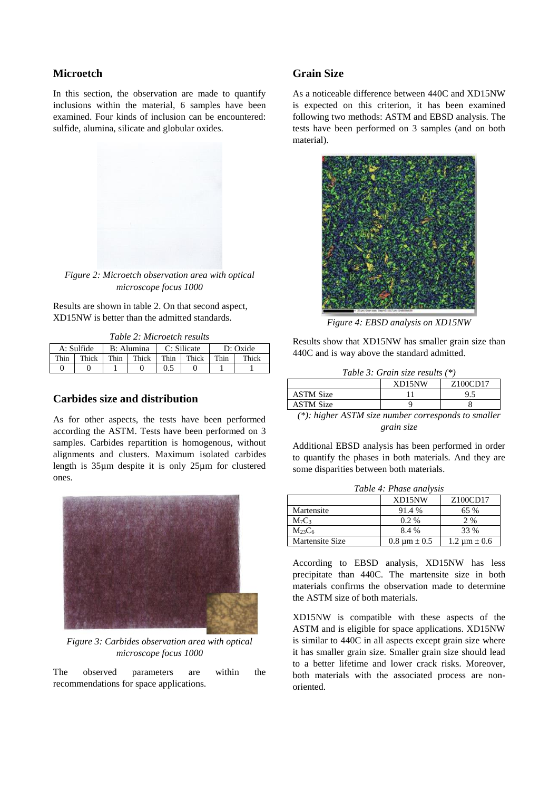#### **Microetch**

In this section, the observation are made to quantify inclusions within the material, 6 samples have been examined. Four kinds of inclusion can be encountered: sulfide, alumina, silicate and globular oxides.



*Figure 2: Microetch observation area with optical microscope focus 1000*

Results are shown in table 2. On that second aspect, XD15NW is better than the admitted standards.

*Table 2: Microetch results*

|      | A: Sulfide |      | B: Alumina |      | C: Silicate |      | D: Oxide |
|------|------------|------|------------|------|-------------|------|----------|
| Thin | Thick      | Thin | Thick      | Thin | Thick       | Thin | Thick    |
|      |            |      |            | 0.5  |             |      |          |

## **Carbides size and distribution**

As for other aspects, the tests have been performed according the ASTM. Tests have been performed on 3 samples. Carbides repartition is homogenous, without alignments and clusters. Maximum isolated carbides length is 35µm despite it is only 25µm for clustered ones.



*Figure 3: Carbides observation area with optical microscope focus 1000*

The observed parameters are within the recommendations for space applications.

## **Grain Size**

As a noticeable difference between 440C and XD15NW is expected on this criterion, it has been examined following two methods: ASTM and EBSD analysis. The tests have been performed on 3 samples (and on both material).



*Figure 4: EBSD analysis on XD15NW*

Results show that XD15NW has smaller grain size than 440C and is way above the standard admitted.

*Table 3: Grain size results (\*)*

|                                                                                                                 | XD15NW | Z <sub>100</sub> CD <sub>17</sub>                             |
|-----------------------------------------------------------------------------------------------------------------|--------|---------------------------------------------------------------|
| <b>ASTM Size</b>                                                                                                |        | 9.5                                                           |
| <b>ASTM Size</b>                                                                                                |        |                                                               |
| the contract of the contract of the contract of the contract of the contract of the contract of the contract of |        | <b>Contract Contract</b><br><b>Contract Contract Contract</b> |

*(\*): higher ASTM size number corresponds to smaller grain size*

Additional EBSD analysis has been performed in order to quantify the phases in both materials. And they are some disparities between both materials.

| Table 4: Phase analysis       |                     |                     |  |
|-------------------------------|---------------------|---------------------|--|
|                               | XD15NW              | Z100CD17            |  |
| Martensite                    | 91.4 %              | 65 %                |  |
| M <sub>7</sub> C <sub>3</sub> | $0.2\%$             | 2 %                 |  |
| $M_{23}C_6$                   | 8.4 %               | 33 %                |  |
| Martensite Size               | $0.8 \mu m \pm 0.5$ | $1.2 \mu m \pm 0.6$ |  |

According to EBSD analysis, XD15NW has less precipitate than 440C. The martensite size in both materials confirms the observation made to determine

the ASTM size of both materials.

XD15NW is compatible with these aspects of the ASTM and is eligible for space applications. XD15NW is similar to 440C in all aspects except grain size where it has smaller grain size. Smaller grain size should lead to a better lifetime and lower crack risks. Moreover, both materials with the associated process are nonoriented.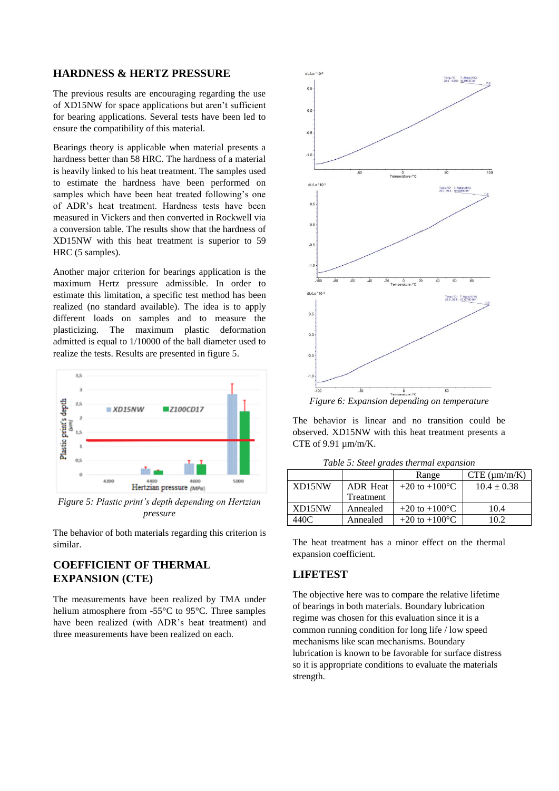#### **HARDNESS & HERTZ PRESSURE**

The previous results are encouraging regarding the use of XD15NW for space applications but aren't sufficient for bearing applications. Several tests have been led to ensure the compatibility of this material.

Bearings theory is applicable when material presents a hardness better than 58 HRC. The hardness of a material is heavily linked to his heat treatment. The samples used to estimate the hardness have been performed on samples which have been heat treated following's one of ADR's heat treatment. Hardness tests have been measured in Vickers and then converted in Rockwell via a conversion table. The results show that the hardness of XD15NW with this heat treatment is superior to 59 HRC (5 samples).

Another major criterion for bearings application is the maximum Hertz pressure admissible. In order to estimate this limitation, a specific test method has been realized (no standard available). The idea is to apply different loads on samples and to measure the plasticizing. The maximum plastic deformation admitted is equal to 1/10000 of the ball diameter used to realize the tests. Results are presented in figure 5.



*Figure 5: Plastic print's depth depending on Hertzian pressure*

The behavior of both materials regarding this criterion is similar.

# **COEFFICIENT OF THERMAL EXPANSION (CTE)**

The measurements have been realized by TMA under helium atmosphere from -55°C to 95°C. Three samples have been realized (with ADR's heat treatment) and three measurements have been realized on each.



*Figure 6: Expansion depending on temperature*

The behavior is linear and no transition could be observed. XD15NW with this heat treatment presents a CTE of 9.91 µm/m/K.

|        |                 | Range                    | $CTE$ ( $\mu$ m/m/K) |
|--------|-----------------|--------------------------|----------------------|
| XD15NW | <b>ADR</b> Heat | +20 to +100 $^{\circ}$ C | $10.4 \pm 0.38$      |
|        | Treatment       |                          |                      |
| XD15NW | Annealed        | +20 to +100 $^{\circ}$ C | 10.4                 |
| 440C   | Annealed        | +20 to +100 $^{\circ}$ C | 10 2                 |

*Table 5: Steel grades thermal expansion*

The heat treatment has a minor effect on the thermal expansion coefficient.

# **LIFETEST**

The objective here was to compare the relative lifetime of bearings in both materials. Boundary lubrication regime was chosen for this evaluation since it is a common running condition for long life / low speed mechanisms like scan mechanisms. Boundary lubrication is known to be favorable for surface distress so it is appropriate conditions to evaluate the materials strength.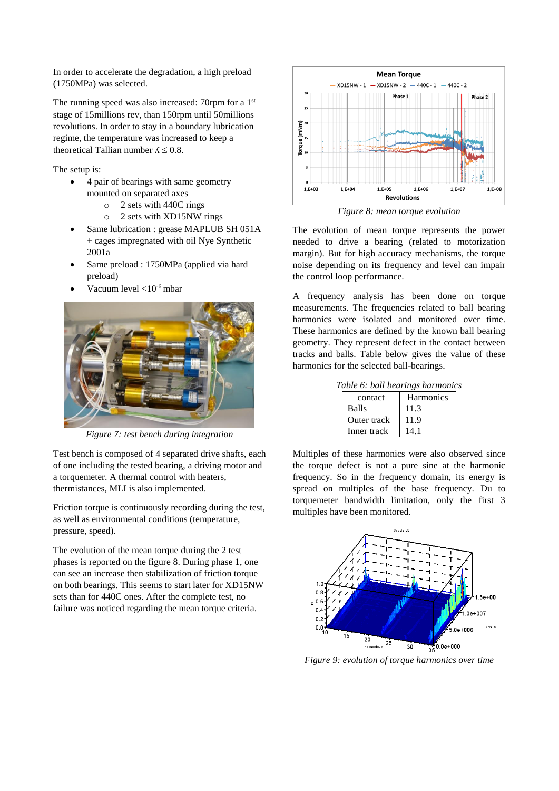In order to accelerate the degradation, a high preload (1750MPa) was selected.

The running speed was also increased: 70rpm for a  $1<sup>st</sup>$ stage of 15millions rev, than 150rpm until 50millions revolutions. In order to stay in a boundary lubrication regime, the temperature was increased to keep a theoretical Tallian number  $\lambda \leq 0.8$ .

The setup is:

- 4 pair of bearings with same geometry mounted on separated axes
	- o 2 sets with 440C rings
	- o 2 sets with XD15NW rings
- Same lubrication : grease MAPLUB SH 051A + cages impregnated with oil Nye Synthetic 2001a
- Same preload : 1750MPa (applied via hard preload)
- Vacuum level <10-6 mbar



*Figure 7: test bench during integration*

Test bench is composed of 4 separated drive shafts, each of one including the tested bearing, a driving motor and a torquemeter. A thermal control with heaters, thermistances, MLI is also implemented.

Friction torque is continuously recording during the test, as well as environmental conditions (temperature, pressure, speed).

The evolution of the mean torque during the 2 test phases is reported on the figure 8. During phase 1, one can see an increase then stabilization of friction torque on both bearings. This seems to start later for XD15NW sets than for 440C ones. After the complete test, no failure was noticed regarding the mean torque criteria.



*Figure 8: mean torque evolution*

The evolution of mean torque represents the power needed to drive a bearing (related to motorization margin). But for high accuracy mechanisms, the torque noise depending on its frequency and level can impair the control loop performance.

A frequency analysis has been done on torque measurements. The frequencies related to ball bearing harmonics were isolated and monitored over time. These harmonics are defined by the known ball bearing geometry. They represent defect in the contact between tracks and balls. Table below gives the value of these harmonics for the selected ball-bearings.

|              | Table 6: ball bearings harmonics |  |
|--------------|----------------------------------|--|
| contact      | <b>Harmonics</b>                 |  |
| <b>Balls</b> | 11.3                             |  |
| Outer track  | 119                              |  |
| Inner track  |                                  |  |

Multiples of these harmonics were also observed since the torque defect is not a pure sine at the harmonic frequency. So in the frequency domain, its energy is spread on multiples of the base frequency. Du to torquemeter bandwidth limitation, only the first 3 multiples have been monitored.



*Figure 9: evolution of torque harmonics over time*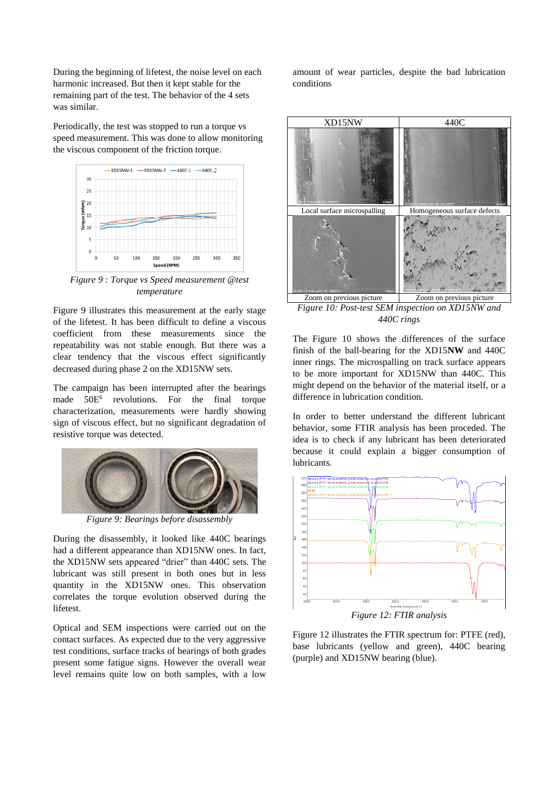During the beginning of lifetest, the noise level on each harmonic increased. But then it kept stable for the remaining part of the test. The behavior of the 4 sets was similar.

Periodically, the test was stopped to run a torque vs speed measurement. This was done to allow monitoring the viscous component of the friction torque.



*Figure 9 : Torque vs Speed measurement @test temperature*

Figure 9 illustrates this measurement at the early stage of the lifetest. It has been difficult to define a viscous coefficient from these measurements since the repeatability was not stable enough. But there was a clear tendency that the viscous effect significantly decreased during phase 2 on the XD15NW sets.

The campaign has been interrupted after the bearings made 50E<sup>6</sup> revolutions. For the final torque characterization, measurements were hardly showing sign of viscous effect, but no significant degradation of resistive torque was detected.



*Figure 9: Bearings before disassembly*

During the disassembly, it looked like 440C bearings had a different appearance than XD15NW ones. In fact, the XD15NW sets appeared "drier" than 440C sets. The lubricant was still present in both ones but in less quantity in the XD15NW ones. This observation correlates the torque evolution observed during the lifetest.

Optical and SEM inspections were carried out on the contact surfaces. As expected due to the very aggressive test conditions, surface tracks of bearings of both grades present some fatigue signs. However the overall wear level remains quite low on both samples, with a low

amount of wear particles, despite the bad lubrication conditions



*Figure 10: Post-test SEM inspection on XD15NW and 440C rings*

The Figure 10 shows the differences of the surface finish of the ball-bearing for the XD15**NW** and 440C inner rings. The microspalling on track surface appears to be more important for XD15NW than 440C. This might depend on the behavior of the material itself, or a difference in lubrication condition.

In order to better understand the different lubricant behavior, some FTIR analysis has been proceded. The idea is to check if any lubricant has been deteriorated because it could explain a bigger consumption of lubricants.



*Figure 12: FTIR analysis*

Figure 12 illustrates the FTIR spectrum for: PTFE (red), base lubricants (yellow and green), 440C bearing (purple) and XD15NW bearing (blue).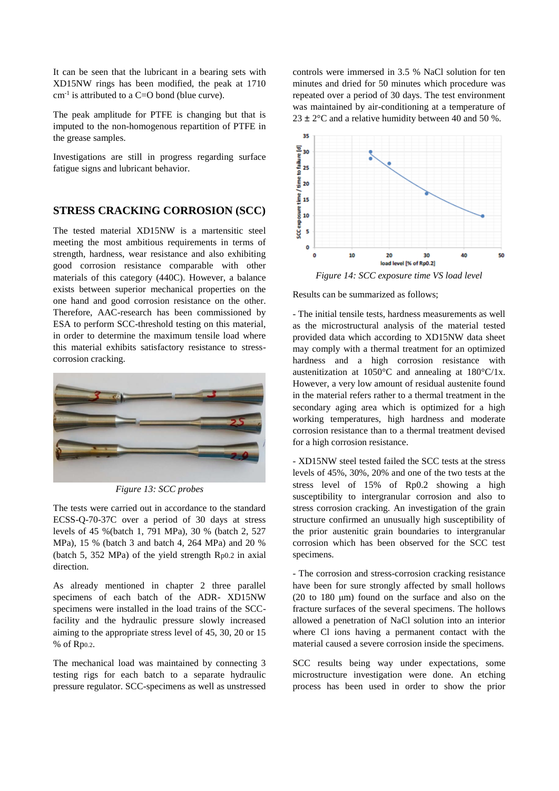It can be seen that the lubricant in a bearing sets with XD15NW rings has been modified, the peak at 1710  $cm<sup>-1</sup>$  is attributed to a C=O bond (blue curve).

The peak amplitude for PTFE is changing but that is imputed to the non-homogenous repartition of PTFE in the grease samples.

Investigations are still in progress regarding surface fatigue signs and lubricant behavior.

### **STRESS CRACKING CORROSION (SCC)**

The tested material XD15NW is a martensitic steel meeting the most ambitious requirements in terms of strength, hardness, wear resistance and also exhibiting good corrosion resistance comparable with other materials of this category (440C). However, a balance exists between superior mechanical properties on the one hand and good corrosion resistance on the other. Therefore, AAC-research has been commissioned by ESA to perform SCC-threshold testing on this material, in order to determine the maximum tensile load where this material exhibits satisfactory resistance to stresscorrosion cracking.



*Figure 13: SCC probes*

The tests were carried out in accordance to the standard ECSS-Q-70-37C over a period of 30 days at stress levels of 45 %(batch 1, 791 MPa), 30 % (batch 2, 527 MPa), 15 % (batch 3 and batch 4, 264 MPa) and 20 % (batch 5, 352 MPa) of the yield strength Rp0.2 in axial direction.

As already mentioned in chapter 2 three parallel specimens of each batch of the ADR- XD15NW specimens were installed in the load trains of the SCCfacility and the hydraulic pressure slowly increased aiming to the appropriate stress level of 45, 30, 20 or 15 % of Rp0.2.

The mechanical load was maintained by connecting 3 testing rigs for each batch to a separate hydraulic pressure regulator. SCC-specimens as well as unstressed

controls were immersed in 3.5 % NaCl solution for ten minutes and dried for 50 minutes which procedure was repeated over a period of 30 days. The test environment was maintained by air-conditioning at a temperature of  $23 \pm 2^{\circ}$ C and a relative humidity between 40 and 50 %.



*Figure 14: SCC exposure time VS load level*

Results can be summarized as follows;

- The initial tensile tests, hardness measurements as well as the microstructural analysis of the material tested provided data which according to XD15NW data sheet may comply with a thermal treatment for an optimized hardness and a high corrosion resistance with austenitization at 1050°C and annealing at 180°C/1x. However, a very low amount of residual austenite found in the material refers rather to a thermal treatment in the secondary aging area which is optimized for a high working temperatures, high hardness and moderate corrosion resistance than to a thermal treatment devised for a high corrosion resistance.

- XD15NW steel tested failed the SCC tests at the stress levels of 45%, 30%, 20% and one of the two tests at the stress level of 15% of Rp0.2 showing a high susceptibility to intergranular corrosion and also to stress corrosion cracking. An investigation of the grain structure confirmed an unusually high susceptibility of the prior austenitic grain boundaries to intergranular corrosion which has been observed for the SCC test specimens.

- The corrosion and stress-corrosion cracking resistance have been for sure strongly affected by small hollows (20 to 180 μm) found on the surface and also on the fracture surfaces of the several specimens. The hollows allowed a penetration of NaCl solution into an interior where Cl ions having a permanent contact with the material caused a severe corrosion inside the specimens.

SCC results being way under expectations, some microstructure investigation were done. An etching process has been used in order to show the prior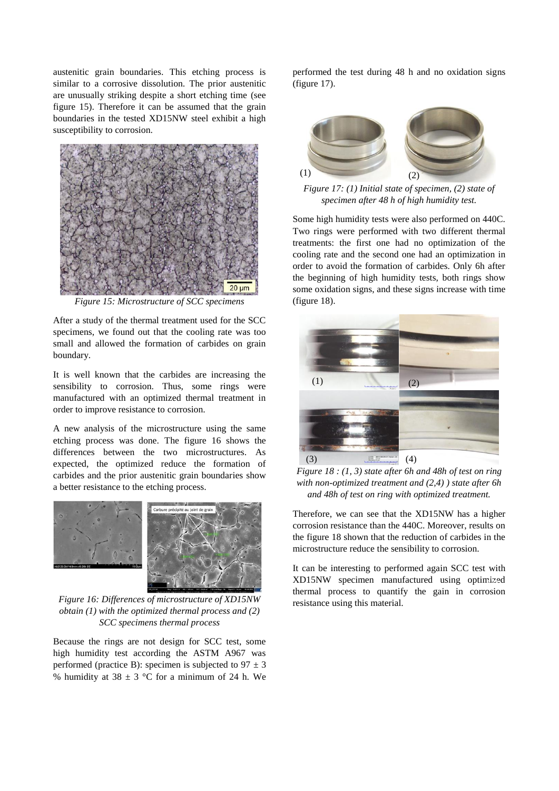austenitic grain boundaries. This etching process is similar to a corrosive dissolution. The prior austenitic are unusually striking despite a short etching time (see figure 15). Therefore it can be assumed that the grain boundaries in the tested XD15NW steel exhibit a high susceptibility to corrosion.



*Figure 15: Microstructure of SCC specimens*

After a study of the thermal treatment used for the SCC specimens, we found out that the cooling rate was too small and allowed the formation of carbides on grain boundary.

It is well known that the carbides are increasing the sensibility to corrosion. Thus, some rings were manufactured with an optimized thermal treatment in order to improve resistance to corrosion.

A new analysis of the microstructure using the same etching process was done. The figure 16 shows the differences between the two microstructures. As expected, the optimized reduce the formation of carbides and the prior austenitic grain boundaries show a better resistance to the etching process.



*Figure 16: Differences of microstructure of XD15NW obtain (1) with the optimized thermal process and (2) SCC specimens thermal process*

Because the rings are not design for SCC test, some high humidity test according the ASTM A967 was performed (practice B): specimen is subjected to  $97 \pm 3$ % humidity at  $38 \pm 3$  °C for a minimum of 24 h. We performed the test during 48 h and no oxidation signs (figure 17).



*Figure 17: (1) Initial state of specimen, (2) state of specimen after 48 h of high humidity test.* 

Some high humidity tests were also performed on 440C. Two rings were performed with two different thermal treatments: the first one had no optimization of the cooling rate and the second one had an optimization in order to avoid the formation of carbides. Only 6h after the beginning of high humidity tests, both rings show some oxidation signs, and these signs increase with time (figure 18).



*Figure 18 : (1, 3) state after 6h and 48h of test on ring with non-optimized treatment and (2,4) ) state after 6h and 48h of test on ring with optimized treatment.*

Therefore, we can see that the XD15NW has a higher corrosion resistance than the 440C. Moreover, results on the figure 18 shown that the reduction of carbides in the microstructure reduce the sensibility to corrosion.

It can be interesting to performed again SCC test with XD15NW specimen manufactured using optimized thermal process to quantify the gain in corrosion resistance using this material.